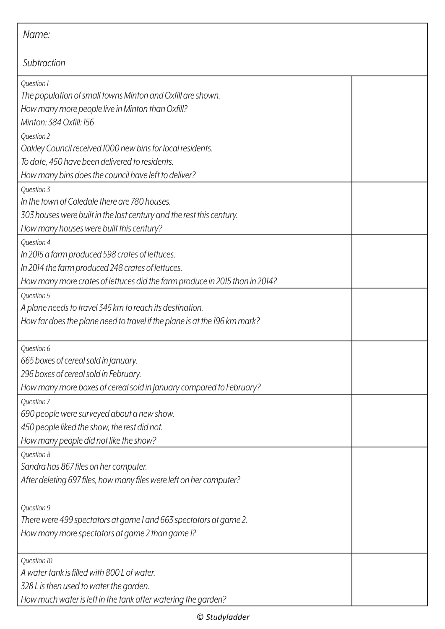| Name:                                                                       |  |
|-----------------------------------------------------------------------------|--|
| Subtraction                                                                 |  |
| Question 1                                                                  |  |
| The population of small towns Minton and Oxfill are shown.                  |  |
| How many more people live in Minton than Oxfill?                            |  |
| Minton: 384 Oxfill: 156                                                     |  |
| Question 2                                                                  |  |
| Oakley Council received 1000 new bins for local residents.                  |  |
| To date, 450 have been delivered to residents.                              |  |
| How many bins does the council have left to deliver?                        |  |
| Question 3                                                                  |  |
| In the town of Coledale there are 780 houses.                               |  |
| 303 houses were built in the last century and the rest this century.        |  |
| How many houses were built this century?                                    |  |
| Question 4                                                                  |  |
| In 2015 a farm produced 598 crates of lettuces.                             |  |
| In 2014 the farm produced 248 crates of lettuces.                           |  |
| How many more crates of lettuces did the farm produce in 2015 than in 2014? |  |
| Question 5                                                                  |  |
| A plane needs to travel 345 km to reach its destination.                    |  |
| How far does the plane need to travel if the plane is at the 196 km mark?   |  |
|                                                                             |  |
| Question 6                                                                  |  |
| 665 boxes of cereal sold in January.                                        |  |
| 296 boxes of cereal sold in February.                                       |  |
| How many more boxes of cereal sold in January compared to February?         |  |
| Question 7                                                                  |  |
| 690 people were surveyed about a new show.                                  |  |
| 450 people liked the show, the rest did not.                                |  |
| How many people did not like the show?                                      |  |
| Question 8                                                                  |  |
| Sandra has 867 files on her computer.                                       |  |
| After deleting 697 files, how many files were left on her computer?         |  |
|                                                                             |  |
| Question 9                                                                  |  |
| There were 499 spectators at game 1 and 663 spectators at game 2.           |  |
| How many more spectators at game 2 than game 1?                             |  |
| Question 10                                                                 |  |
| A water tank is filled with 800 L of water.                                 |  |
| 328 L is then used to water the garden.                                     |  |
| How much water is left in the tank after watering the garden?               |  |